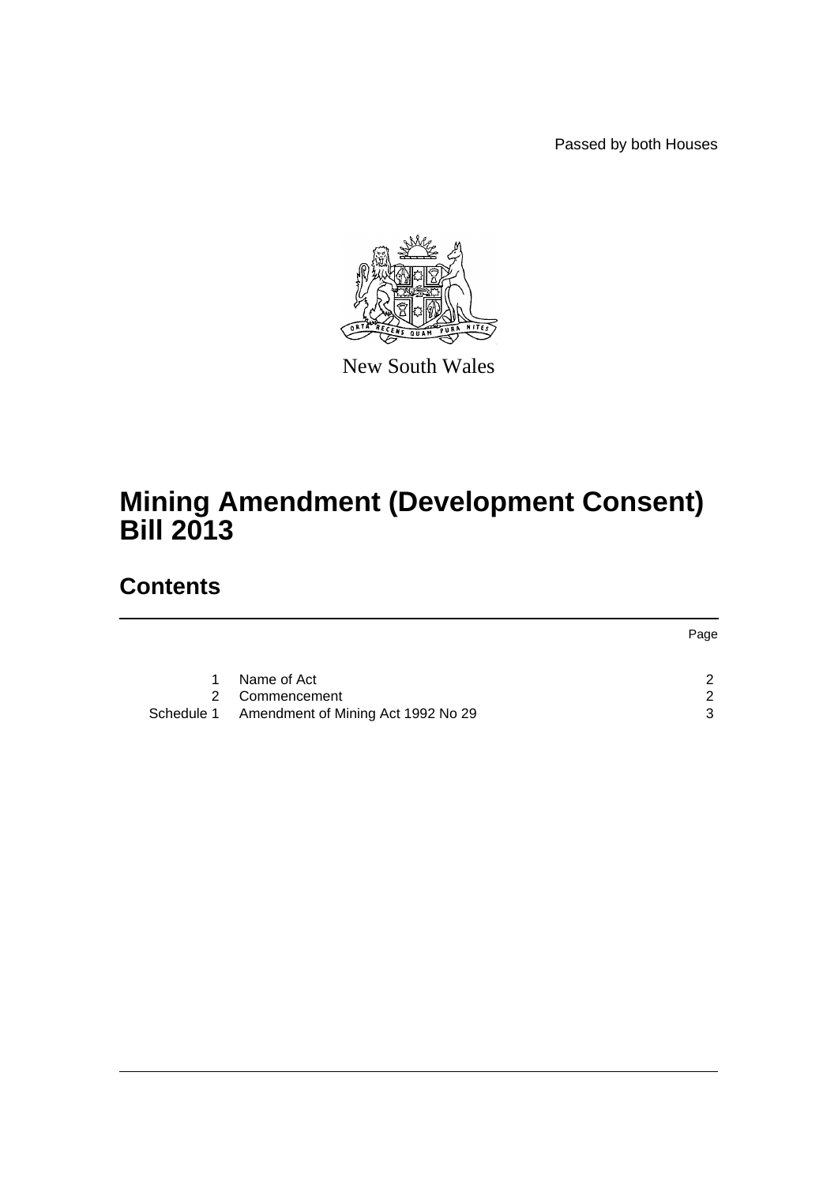Passed by both Houses



New South Wales

# **Mining Amendment (Development Consent) Bill 2013**

## **Contents**

|   |                                               | Page |
|---|-----------------------------------------------|------|
|   |                                               |      |
| 1 | Name of Act                                   |      |
|   | 2 Commencement                                |      |
|   | Schedule 1 Amendment of Mining Act 1992 No 29 | າ    |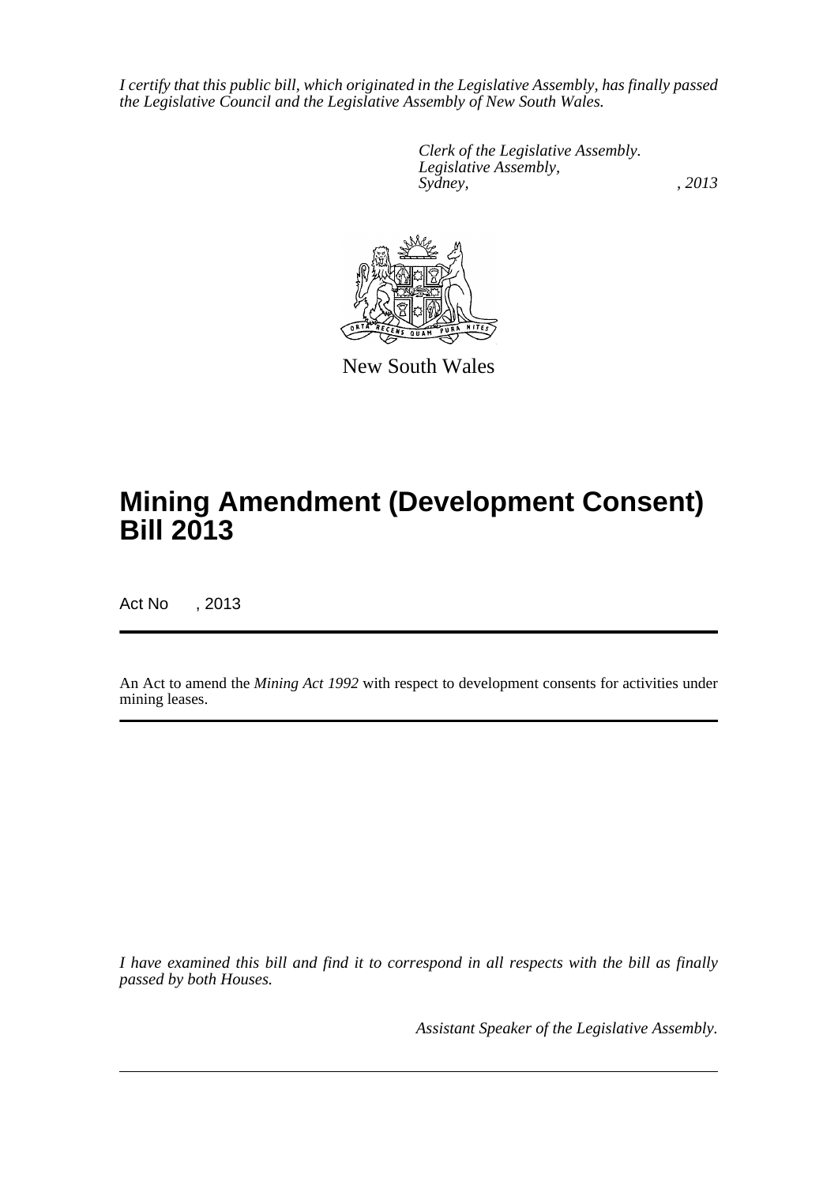*I certify that this public bill, which originated in the Legislative Assembly, has finally passed the Legislative Council and the Legislative Assembly of New South Wales.*

> *Clerk of the Legislative Assembly. Legislative Assembly, Sydney, , 2013*



New South Wales

# **Mining Amendment (Development Consent) Bill 2013**

Act No , 2013

An Act to amend the *Mining Act 1992* with respect to development consents for activities under mining leases.

*I have examined this bill and find it to correspond in all respects with the bill as finally passed by both Houses.*

*Assistant Speaker of the Legislative Assembly.*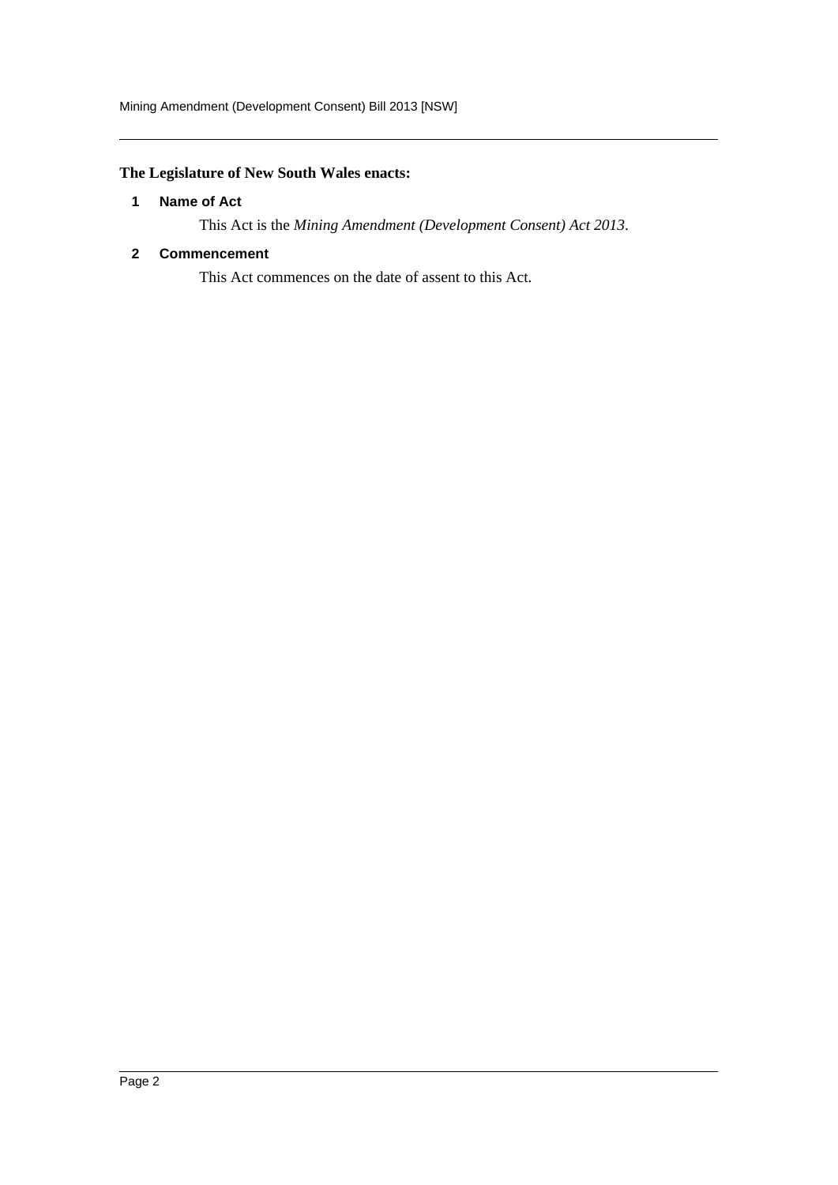### <span id="page-2-0"></span>**The Legislature of New South Wales enacts:**

### **1 Name of Act**

This Act is the *Mining Amendment (Development Consent) Act 2013*.

### <span id="page-2-1"></span>**2 Commencement**

This Act commences on the date of assent to this Act.